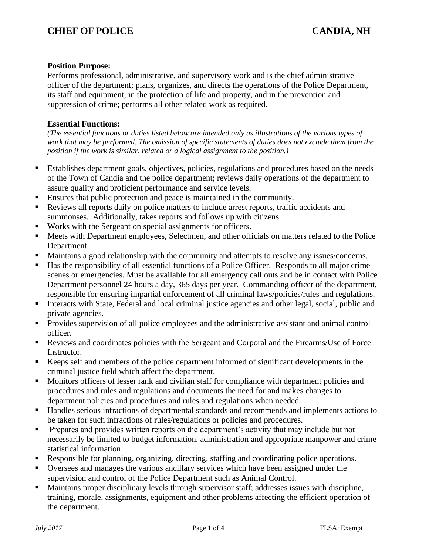## **Position Purpose:**

Performs professional, administrative, and supervisory work and is the chief administrative officer of the department; plans, organizes, and directs the operations of the Police Department, its staff and equipment, in the protection of life and property, and in the prevention and suppression of crime; performs all other related work as required.

### **Essential Functions:**

*(The essential functions or duties listed below are intended only as illustrations of the various types of work that may be performed. The omission of specific statements of duties does not exclude them from the position if the work is similar, related or a logical assignment to the position.)*

- Establishes department goals, objectives, policies, regulations and procedures based on the needs of the Town of Candia and the police department; reviews daily operations of the department to assure quality and proficient performance and service levels.
- Ensures that public protection and peace is maintained in the community.
- Reviews all reports daily on police matters to include arrest reports, traffic accidents and summonses. Additionally, takes reports and follows up with citizens.
- Works with the Sergeant on special assignments for officers.
- Meets with Department employees, Selectmen, and other officials on matters related to the Police Department.
- Maintains a good relationship with the community and attempts to resolve any issues/concerns.
- Has the responsibility of all essential functions of a Police Officer. Responds to all major crime scenes or emergencies. Must be available for all emergency call outs and be in contact with Police Department personnel 24 hours a day, 365 days per year. Commanding officer of the department, responsible for ensuring impartial enforcement of all criminal laws/policies/rules and regulations.
- **EXECUTE:** Interacts with State, Federal and local criminal justice agencies and other legal, social, public and private agencies.
- **•** Provides supervision of all police employees and the administrative assistant and animal control officer.
- Reviews and coordinates policies with the Sergeant and Corporal and the Firearms/Use of Force Instructor.
- Keeps self and members of the police department informed of significant developments in the criminal justice field which affect the department.
- Monitors officers of lesser rank and civilian staff for compliance with department policies and procedures and rules and regulations and documents the need for and makes changes to department policies and procedures and rules and regulations when needed.
- Handles serious infractions of departmental standards and recommends and implements actions to be taken for such infractions of rules/regulations or policies and procedures.
- **•** Prepares and provides written reports on the department's activity that may include but not necessarily be limited to budget information, administration and appropriate manpower and crime statistical information.
- Responsible for planning, organizing, directing, staffing and coordinating police operations.
- Oversees and manages the various ancillary services which have been assigned under the supervision and control of the Police Department such as Animal Control.
- Maintains proper disciplinary levels through supervisor staff; addresses issues with discipline, training, morale, assignments, equipment and other problems affecting the efficient operation of the department.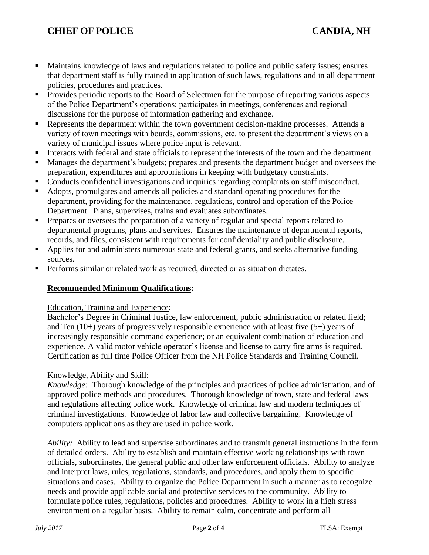# **CHIEF OF POLICE CANDIA, NH**

# ■ Maintains knowledge of laws and regulations related to police and public safety issues; ensures that department staff is fully trained in application of such laws, regulations and in all department policies, procedures and practices.

- Provides periodic reports to the Board of Selectmen for the purpose of reporting various aspects of the Police Department's operations; participates in meetings, conferences and regional discussions for the purpose of information gathering and exchange.
- **EXECUTE:** Represents the department within the town government decision-making processes. Attends a variety of town meetings with boards, commissions, etc. to present the department's views on a variety of municipal issues where police input is relevant.
- Interacts with federal and state officials to represent the interests of the town and the department.
- Manages the department's budgets; prepares and presents the department budget and oversees the preparation, expenditures and appropriations in keeping with budgetary constraints.
- Conducts confidential investigations and inquiries regarding complaints on staff misconduct.
- Adopts, promulgates and amends all policies and standard operating procedures for the department, providing for the maintenance, regulations, control and operation of the Police Department. Plans, supervises, trains and evaluates subordinates.
- **•** Prepares or oversees the preparation of a variety of regular and special reports related to departmental programs, plans and services. Ensures the maintenance of departmental reports, records, and files, consistent with requirements for confidentiality and public disclosure.
- **•** Applies for and administers numerous state and federal grants, and seeks alternative funding sources.
- **•** Performs similar or related work as required, directed or as situation dictates.

## **Recommended Minimum Qualifications:**

#### Education, Training and Experience:

Bachelor's Degree in Criminal Justice, law enforcement, public administration or related field; and Ten  $(10+)$  years of progressively responsible experience with at least five  $(5+)$  years of increasingly responsible command experience; or an equivalent combination of education and experience. A valid motor vehicle operator's license and license to carry fire arms is required. Certification as full time Police Officer from the NH Police Standards and Training Council.

#### Knowledge, Ability and Skill:

*Knowledge:* Thorough knowledge of the principles and practices of police administration, and of approved police methods and procedures. Thorough knowledge of town, state and federal laws and regulations affecting police work. Knowledge of criminal law and modern techniques of criminal investigations. Knowledge of labor law and collective bargaining. Knowledge of computers applications as they are used in police work.

*Ability:* Ability to lead and supervise subordinates and to transmit general instructions in the form of detailed orders. Ability to establish and maintain effective working relationships with town officials, subordinates, the general public and other law enforcement officials. Ability to analyze and interpret laws, rules, regulations, standards, and procedures, and apply them to specific situations and cases. Ability to organize the Police Department in such a manner as to recognize needs and provide applicable social and protective services to the community. Ability to formulate police rules, regulations, policies and procedures. Ability to work in a high stress environment on a regular basis. Ability to remain calm, concentrate and perform all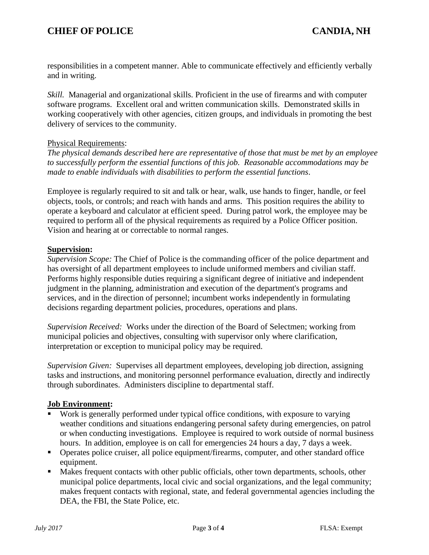responsibilities in a competent manner. Able to communicate effectively and efficiently verbally and in writing.

*Skill.* Managerial and organizational skills. Proficient in the use of firearms and with computer software programs. Excellent oral and written communication skills. Demonstrated skills in working cooperatively with other agencies, citizen groups, and individuals in promoting the best delivery of services to the community.

#### Physical Requirements:

*The physical demands described here are representative of those that must be met by an employee to successfully perform the essential functions of this job. Reasonable accommodations may be made to enable individuals with disabilities to perform the essential functions*.

Employee is regularly required to sit and talk or hear, walk, use hands to finger, handle, or feel objects, tools, or controls; and reach with hands and arms. This position requires the ability to operate a keyboard and calculator at efficient speed. During patrol work, the employee may be required to perform all of the physical requirements as required by a Police Officer position. Vision and hearing at or correctable to normal ranges.

#### **Supervision:**

*Supervision Scope:* The Chief of Police is the commanding officer of the police department and has oversight of all department employees to include uniformed members and civilian staff. Performs highly responsible duties requiring a significant degree of initiative and independent judgment in the planning, administration and execution of the department's programs and services, and in the direction of personnel; incumbent works independently in formulating decisions regarding department policies, procedures, operations and plans.

*Supervision Received:* Works under the direction of the Board of Selectmen; working from municipal policies and objectives, consulting with supervisor only where clarification, interpretation or exception to municipal policy may be required.

*Supervision Given:* Supervises all department employees, developing job direction, assigning tasks and instructions, and monitoring personnel performance evaluation, directly and indirectly through subordinates. Administers discipline to departmental staff.

### **Job Environment:**

- Work is generally performed under typical office conditions, with exposure to varying weather conditions and situations endangering personal safety during emergencies, on patrol or when conducting investigations. Employee is required to work outside of normal business hours. In addition, employee is on call for emergencies 24 hours a day, 7 days a week.
- Operates police cruiser, all police equipment/firearms, computer, and other standard office equipment.
- Makes frequent contacts with other public officials, other town departments, schools, other municipal police departments, local civic and social organizations, and the legal community; makes frequent contacts with regional, state, and federal governmental agencies including the DEA, the FBI, the State Police, etc.